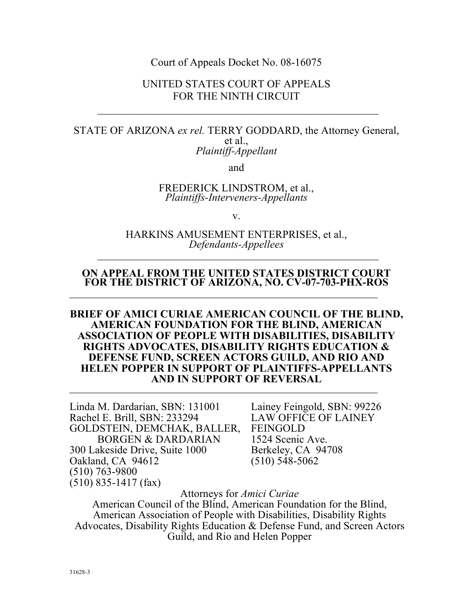#### Court of Appeals Docket No. 08-16075

### UNITED STATES COURT OF APPEALS FOR THE NINTH CIRCUIT

#### <span id="page-0-0"></span>STATE OF ARIZONA *ex rel.* TERRY GODDARD, the Attorney General, et al., *Plaintiff-Appellant*

and

#### FREDERICK LINDSTROM, et al., *Plaintiffs-Interveners-Appellants*

v.

#### HARKINS AMUSEMENT ENTERPRISES, et al.,  $\overline{a}$  , and the contract of  $\overline{a}$  , and  $\overline{a}$  , and  $\overline{a}$  , and  $\overline{a}$  , and  $\overline{a}$  , and  $\overline{a}$  , and  $\overline{a}$  , and  $\overline{a}$  , and  $\overline{a}$  , and  $\overline{a}$  , and  $\overline{a}$  , and  $\overline{a}$  , and  $\overline{a}$  , *Defendants-Appellees*

#### **ON APPEAL FROM THE UNITED STATES DISTRICT COURT FOR THE DISTRICT OF ARIZONA, NO. CV-07-703-PHX-ROS**

#### **AMERICAN FOUNDATION FOR THE BLIND, AMERICAN ASSOCIATION OF PEOPLE WITH DISABILITIES, DISABILITY RIGHTS ADVOCATES, DISABILITY RIGHTS EDUCATION & AND IN SUPPORT OF REVERSAL**  \_\_\_\_\_\_\_\_\_\_\_\_\_\_\_\_\_\_\_\_\_\_\_\_\_\_\_\_\_\_\_\_\_\_\_\_\_\_\_\_\_\_\_\_\_\_\_\_\_\_\_\_\_\_\_\_\_ **BRIEF OF AMICI CURIAE AMERICAN COUNCIL OF THE BLIND, DEFENSE FUND, SCREEN ACTORS GUILD, AND RIO AND HELEN POPPER IN SUPPORT OF PLAINTIFFS-APPELLANTS**

Linda M. Dardarian, SBN: 131001 Lainey Feingold, SBN: 99226 Rachel E. Brill, SBN: 233294 LAW OFFICE OF LAINEY GOLDSTEIN, DEMCHAK, BALLER, FEINGOLD BORGEN & DARDARIAN 1524 Scenic Ave. 300 Lakeside Drive, Suite 1000 Berkeley, CA 94708 Oakland, CA 94612 (510) 548-5062 (510) 763-9800 (510) 835-1417 (fax)

Attorneys for *Amici Curiae* 

American Council of the Blind, American Foundation for the Blind, Advocates, Disability Rights Education & Defense Fund, and Screen Actors American Association of People with Disabilities, Disability Rights Guild, and Rio and Helen Popper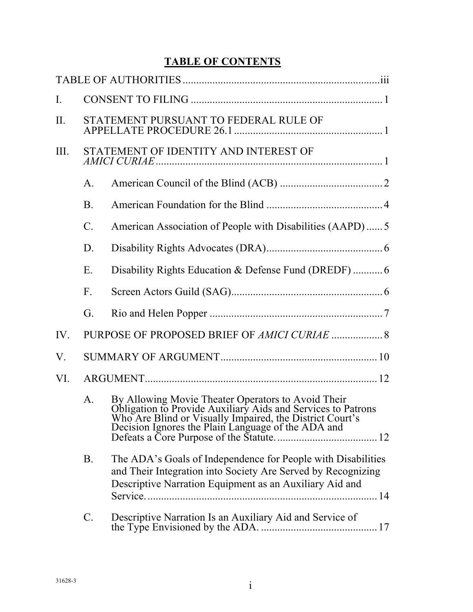# **TABLE OF CONTENTS**

| $\mathbf{I}$ . |                 |                                                                                                                                                                                                                                      |  |
|----------------|-----------------|--------------------------------------------------------------------------------------------------------------------------------------------------------------------------------------------------------------------------------------|--|
| II.            |                 | STATEMENT PURSUANT TO FEDERAL RULE OF                                                                                                                                                                                                |  |
| III.           |                 | STATEMENT OF IDENTITY AND INTEREST OF                                                                                                                                                                                                |  |
|                | $\mathsf{A}$ .  |                                                                                                                                                                                                                                      |  |
|                | <b>B</b> .      |                                                                                                                                                                                                                                      |  |
|                | $\mathcal{C}$ . | American Association of People with Disabilities (AAPD)5                                                                                                                                                                             |  |
|                | D.              |                                                                                                                                                                                                                                      |  |
|                | Ε.              |                                                                                                                                                                                                                                      |  |
|                | $F_{\perp}$     |                                                                                                                                                                                                                                      |  |
|                | G.              |                                                                                                                                                                                                                                      |  |
| IV.            |                 | PURPOSE OF PROPOSED BRIEF OF AMICI CURIAE  8                                                                                                                                                                                         |  |
| V.             |                 |                                                                                                                                                                                                                                      |  |
| VI.            |                 |                                                                                                                                                                                                                                      |  |
|                | A.              | By Allowing Movie Theater Operators to Avoid Their<br>Obligation to Provide Auxiliary Aids and Services to Patrons<br>Who Are Blind or Visually Impaired, the District Court's<br>Decision Ignores the Plain Language of the ADA and |  |
|                | <b>B.</b>       | The ADA's Goals of Independence for People with Disabilities<br>and Their Integration into Society Are Served by Recognizing<br>Descriptive Narration Equipment as an Auxiliary Aid and                                              |  |
|                | C.              | Descriptive Narration Is an Auxiliary Aid and Service of                                                                                                                                                                             |  |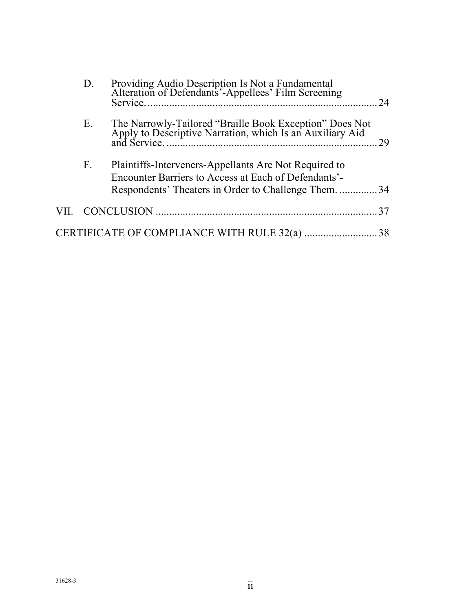| D. | Providing Audio Description Is Not a Fundamental<br>Alteration of Defendants'-Appellees' Film Screening              | 24 |
|----|----------------------------------------------------------------------------------------------------------------------|----|
| Е. | The Narrowly-Tailored "Braille Book Exception" Does Not<br>Apply to Descriptive Narration, which Is an Auxiliary Aid | 29 |
| F. | Plaintiffs-Interveners-Appellants Are Not Required to<br>Encounter Barriers to Access at Each of Defendants'-        |    |
|    | Respondents' Theaters in Order to Challenge Them34                                                                   |    |
|    |                                                                                                                      | 37 |
|    | CERTIFICATE OF COMPLIANCE WITH RULE 32(a)                                                                            | 38 |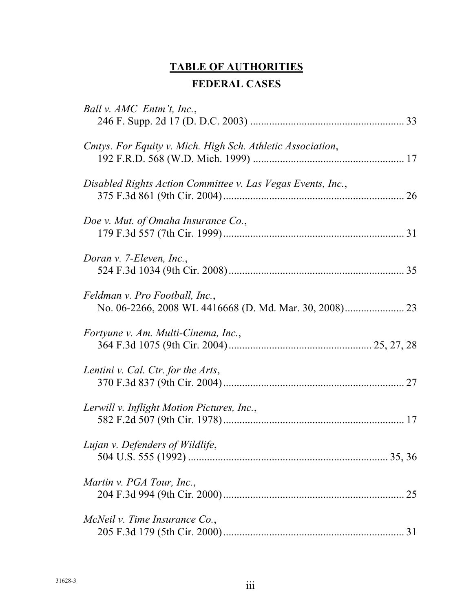# **TABLE OF AUTHORITIES FEDERAL CASES**

<span id="page-3-0"></span>

| Ball v. AMC Entm't, Inc.,                                   |    |
|-------------------------------------------------------------|----|
| Cmtys. For Equity v. Mich. High Sch. Athletic Association,  |    |
| Disabled Rights Action Committee v. Las Vegas Events, Inc., |    |
| Doe v. Mut. of Omaha Insurance Co.,                         |    |
| Doran v. 7-Eleven, Inc.,                                    |    |
| Feldman v. Pro Football, Inc.,                              |    |
| Fortyune v. Am. Multi-Cinema, Inc.,                         |    |
| Lentini v. Cal. Ctr. for the Arts,                          |    |
| Lerwill v. Inflight Motion Pictures, Inc.,                  |    |
| Lujan v. Defenders of Wildlife,                             |    |
| Martin v. PGA Tour, Inc.,                                   | 25 |
| McNeil v. Time Insurance $Co$ .                             |    |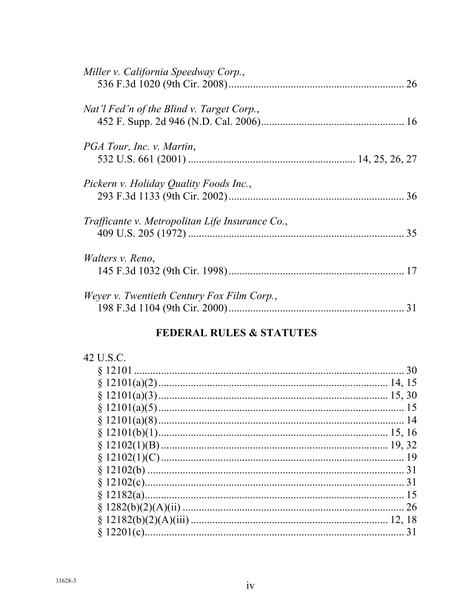| Miller v. California Speedway Corp.,            |    |
|-------------------------------------------------|----|
| Nat'l Fed'n of the Blind v. Target Corp.,       |    |
| PGA Tour, Inc. v. Martin,                       |    |
| Pickern v. Holiday Quality Foods Inc.,          | 36 |
| Trafficante v. Metropolitan Life Insurance Co., | 35 |
| <i>Walters v. Reno,</i>                         |    |
| Weyer v. Twentieth Century Fox Film Corp.,      | 31 |

# FEDERAL RULES & STATUTES

| 42 U.S.C.   |    |
|-------------|----|
| \$12101     | 30 |
|             |    |
|             |    |
|             |    |
|             | 14 |
|             |    |
|             |    |
|             | 19 |
|             | 31 |
|             | 31 |
|             |    |
|             | 26 |
|             |    |
| $$12201(c)$ |    |
|             |    |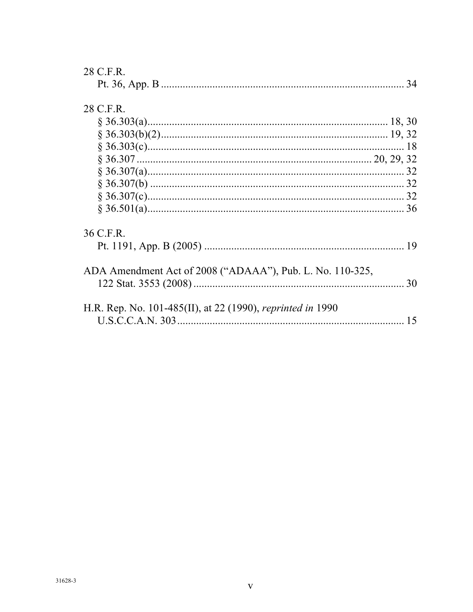| 28 C.F.R.                                                         |    |
|-------------------------------------------------------------------|----|
|                                                                   |    |
| 28 C.F.R.                                                         |    |
|                                                                   |    |
|                                                                   |    |
|                                                                   |    |
|                                                                   |    |
|                                                                   |    |
|                                                                   |    |
|                                                                   |    |
|                                                                   |    |
| 36 C.F.R.                                                         |    |
|                                                                   |    |
| ADA Amendment Act of 2008 ("ADAAA"), Pub. L. No. 110-325,         |    |
| H.R. Rep. No. 101-485(II), at 22 (1990), <i>reprinted in</i> 1990 | 15 |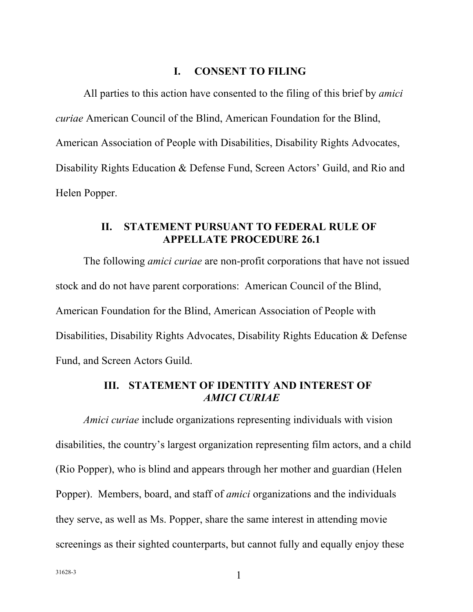#### **I. CONSENT TO FILING**

<span id="page-6-0"></span>All parties to this action have consented to the filing of this brief by *amici curiae* American Council of the Blind, American Foundation for the Blind, American Association of People with Disabilities, Disability Rights Advocates, Disability Rights Education & Defense Fund, Screen Actors' Guild, and Rio and Helen Popper.

### **II. STATEMENT PURSUANT TO FEDERAL RULE OF APPELLATE PROCEDURE 26.1**

The following *amici curiae* are non-profit corporations that have not issued stock and do not have parent corporations: American Council of the Blind, American Foundation for the Blind, American Association of People with Disabilities, Disability Rights Advocates, Disability Rights Education & Defense Fund, and Screen Actors Guild.

# **III. STATEMENT OF IDENTITY AND INTEREST OF**  *AMICI CURIAE*

*Amici curiae* include organizations representing individuals with vision disabilities, the country's largest organization representing film actors, and a child (Rio Popper), who is blind and appears through her mother and guardian (Helen Popper). Members, board, and staff of *amici* organizations and the individuals they serve, as well as Ms. Popper, share the same interest in attending movie screenings as their sighted counterparts, but cannot fully and equally enjoy these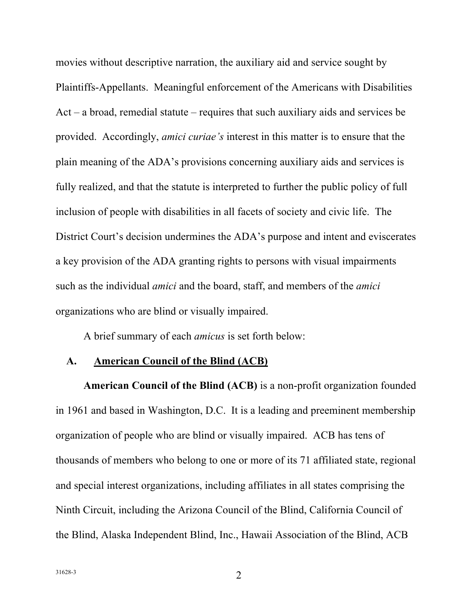<span id="page-7-0"></span> movies without descriptive narration, the auxiliary aid and service sought by Plaintiffs-Appellants. Meaningful enforcement of the Americans with Disabilities provided. Accordingly, *amici curiae's* interest in this matter is to ensure that the plain meaning of the ADA's provisions concerning auxiliary aids and services is fully realized, and that the statute is interpreted to further the public policy of full District Court's decision undermines the ADA's purpose and intent and eviscerates a key provision of the ADA granting rights to persons with visual impairments organizations who are blind or visually impaired. Act – a broad, remedial statute – requires that such auxiliary aids and services be inclusion of people with disabilities in all facets of society and civic life. The such as the individual *amici* and the board, staff, and members of the *amici* 

A brief summary of each *amicus* is set forth below:

### **A. American Council of the Blind (ACB)**

 **American Council of the Blind (ACB)** is a non-profit organization founded in 1961 and based in Washington, D.C. It is a leading and preeminent membership organization of people who are blind or visually impaired. ACB has tens of and special interest organizations, including affiliates in all states comprising the Ninth Circuit, including the Arizona Council of the Blind, California Council of the Blind, Alaska Independent Blind, Inc., Hawaii Association of the Blind, ACB thousands of members who belong to one or more of its 71 affiliated state, regional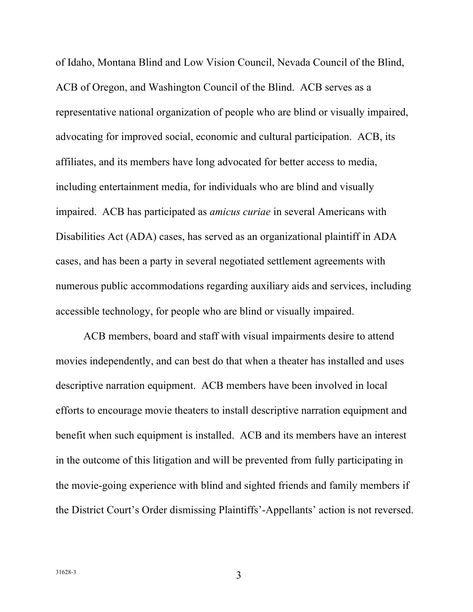<span id="page-8-0"></span> of Idaho, Montana Blind and Low Vision Council, Nevada Council of the Blind, ACB of Oregon, and Washington Council of the Blind. ACB serves as a representative national organization of people who are blind or visually impaired, advocating for improved social, economic and cultural participation. ACB, its affiliates, and its members have long advocated for better access to media, cases, and has been a party in several negotiated settlement agreements with numerous public accommodations regarding auxiliary aids and services, including accessible technology, for people who are blind or visually impaired. including entertainment media, for individuals who are blind and visually impaired. ACB has participated as *amicus curiae* in several Americans with Disabilities Act (ADA) cases, has served as an organizational plaintiff in ADA

 ACB members, board and staff with visual impairments desire to attend descriptive narration equipment. ACB members have been involved in local efforts to encourage movie theaters to install descriptive narration equipment and benefit when such equipment is installed. ACB and its members have an interest in the outcome of this litigation and will be prevented from fully participating in the movie-going experience with blind and sighted friends and family members if the District Court's Order dismissing Plaintiffs'-Appellants' action is not reversed. movies independently, and can best do that when a theater has installed and uses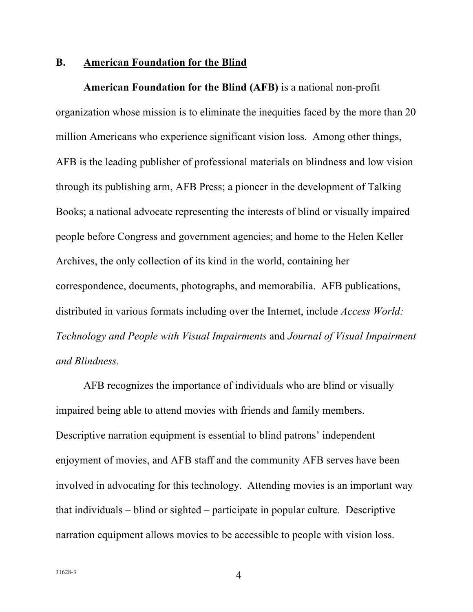#### <span id="page-9-0"></span> **B. American Foundation for the Blind**

 **American Foundation for the Blind (AFB)** is a national non-profit organization whose mission is to eliminate the inequities faced by the more than 20 million Americans who experience significant vision loss. Among other things, AFB is the leading publisher of professional materials on blindness and low vision Books; a national advocate representing the interests of blind or visually impaired people before Congress and government agencies; and home to the Helen Keller Archives, the only collection of its kind in the world, containing her correspondence, documents, photographs, and memorabilia. AFB publications, distributed in various formats including over the Internet, include *Access World: Technology and People with Visual Impairments* and *Journal of Visual Impairment and Blindness.* through its publishing arm, AFB Press; a pioneer in the development of Talking

 AFB recognizes the importance of individuals who are blind or visually enjoyment of movies, and AFB staff and the community AFB serves have been narration equipment allows movies to be accessible to people with vision loss. impaired being able to attend movies with friends and family members. Descriptive narration equipment is essential to blind patrons' independent involved in advocating for this technology. Attending movies is an important way that individuals – blind or sighted – participate in popular culture. Descriptive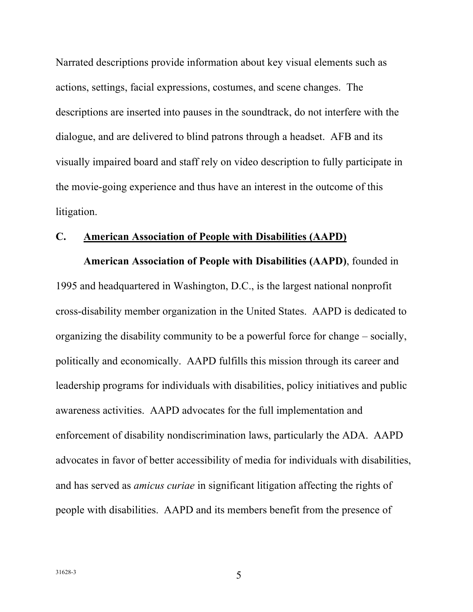<span id="page-10-0"></span> Narrated descriptions provide information about key visual elements such as actions, settings, facial expressions, costumes, and scene changes. The descriptions are inserted into pauses in the soundtrack, do not interfere with the dialogue, and are delivered to blind patrons through a headset. AFB and its visually impaired board and staff rely on video description to fully participate in the movie-going experience and thus have an interest in the outcome of this litigation.

#### **C. American Association of People with Disabilities (AAPD)**

 **American Association of People with Disabilities (AAPD)**, founded in 1995 and headquartered in Washington, D.C., is the largest national nonprofit cross-disability member organization in the United States. AAPD is dedicated to organizing the disability community to be a powerful force for change – socially, politically and economically. AAPD fulfills this mission through its career and leadership programs for individuals with disabilities, policy initiatives and public awareness activities. AAPD advocates for the full implementation and enforcement of disability nondiscrimination laws, particularly the ADA. AAPD advocates in favor of better accessibility of media for individuals with disabilities, and has served as *amicus curiae* in significant litigation affecting the rights of people with disabilities. AAPD and its members benefit from the presence of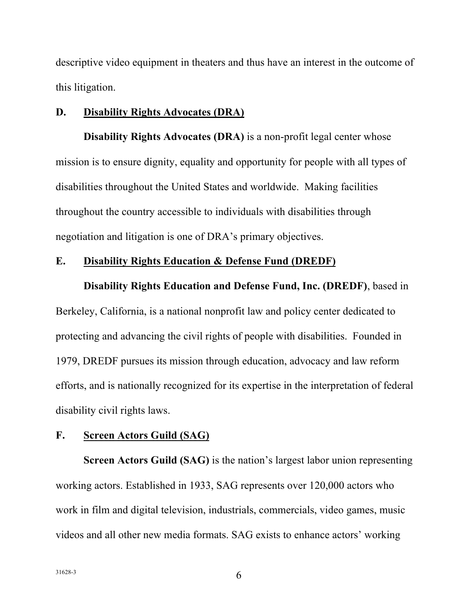<span id="page-11-0"></span> descriptive video equipment in theaters and thus have an interest in the outcome of this litigation.

#### **D. Disability Rights Advocates (DRA)**

 **Disability Rights Advocates (DRA)** is a non-profit legal center whose mission is to ensure dignity, equality and opportunity for people with all types of disabilities throughout the United States and worldwide. Making facilities negotiation and litigation is one of DRA's primary objectives. throughout the country accessible to individuals with disabilities through

#### **E. Disability Rights Education & Defense Fund (DREDF)**

 **Disability Rights Education and Defense Fund, Inc. (DREDF)**, based in

 Berkeley, California, is a national nonprofit law and policy center dedicated to protecting and advancing the civil rights of people with disabilities. Founded in 1979, DREDF pursues its mission through education, advocacy and law reform efforts, and is nationally recognized for its expertise in the interpretation of federal disability civil rights laws.

#### **F. Screen Actors Guild (SAG)**

 working actors. Established in 1933, SAG represents over 120,000 actors who work in film and digital television, industrials, commercials, video games, music videos and all other new media formats. SAG exists to enhance actors' working **Screen Actors Guild (SAG)** is the nation's largest labor union representing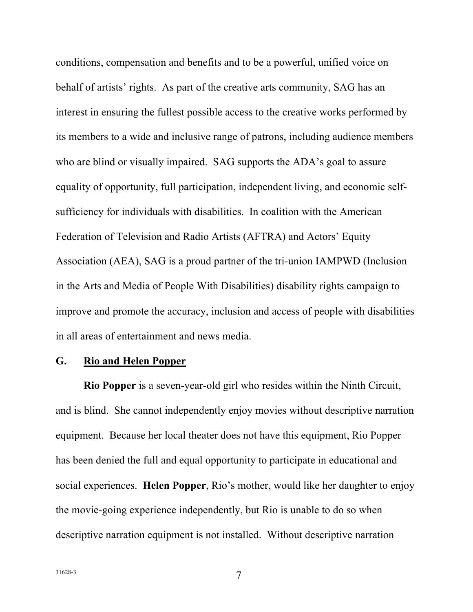<span id="page-12-0"></span> conditions, compensation and benefits and to be a powerful, unified voice on behalf of artists' rights. As part of the creative arts community, SAG has an who are blind or visually impaired. SAG supports the ADA's goal to assure equality of opportunity, full participation, independent living, and economic self- sufficiency for individuals with disabilities. In coalition with the American Federation of Television and Radio Artists (AFTRA) and Actors' Equity Association (AEA), SAG is a proud partner of the tri-union IAMPWD (Inclusion interest in ensuring the fullest possible access to the creative works performed by its members to a wide and inclusive range of patrons, including audience members in the Arts and Media of People With Disabilities) disability rights campaign to improve and promote the accuracy, inclusion and access of people with disabilities in all areas of entertainment and news media.

### **G. Rio and Helen Popper**

 **Rio Popper** is a seven-year-old girl who resides within the Ninth Circuit, and is blind. She cannot independently enjoy movies without descriptive narration equipment. Because her local theater does not have this equipment, Rio Popper has been denied the full and equal opportunity to participate in educational and social experiences. **Helen Popper**, Rio's mother, would like her daughter to enjoy the movie-going experience independently, but Rio is unable to do so when descriptive narration equipment is not installed. Without descriptive narration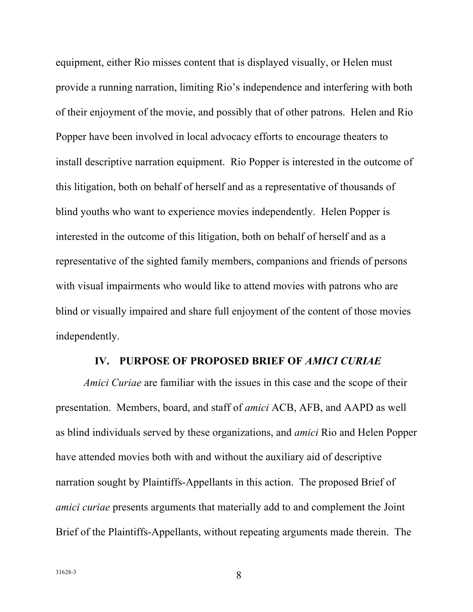<span id="page-13-0"></span> equipment, either Rio misses content that is displayed visually, or Helen must provide a running narration, limiting Rio's independence and interfering with both of their enjoyment of the movie, and possibly that of other patrons. Helen and Rio Popper have been involved in local advocacy efforts to encourage theaters to blind youths who want to experience movies independently. Helen Popper is interested in the outcome of this litigation, both on behalf of herself and as a representative of the sighted family members, companions and friends of persons with visual impairments who would like to attend movies with patrons who are blind or visually impaired and share full enjoyment of the content of those movies install descriptive narration equipment. Rio Popper is interested in the outcome of this litigation, both on behalf of herself and as a representative of thousands of independently.

#### **IV. PURPOSE OF PROPOSED BRIEF OF** *AMICI CURIAE*

 *Amici Curiae* are familiar with the issues in this case and the scope of their presentation. Members, board, and staff of *amici* ACB, AFB, and AAPD as well have attended movies both with and without the auxiliary aid of descriptive narration sought by Plaintiffs-Appellants in this action. The proposed Brief of *amici curiae* presents arguments that materially add to and complement the Joint as blind individuals served by these organizations, and *amici* Rio and Helen Popper Brief of the Plaintiffs-Appellants, without repeating arguments made therein. The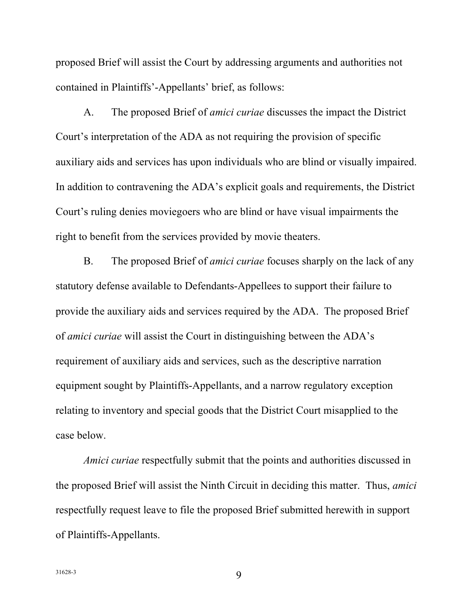proposed Brief will assist the Court by addressing arguments and authorities not contained in Plaintiffs'-Appellants' brief, as follows:

 A. The proposed Brief of *amici curiae* discusses the impact the District Court's interpretation of the ADA as not requiring the provision of specific auxiliary aids and services has upon individuals who are blind or visually impaired. In addition to contravening the ADA's explicit goals and requirements, the District Court's ruling denies moviegoers who are blind or have visual impairments the right to benefit from the services provided by movie theaters.

 B. The proposed Brief of *amici curiae* focuses sharply on the lack of any statutory defense available to Defendants-Appellees to support their failure to provide the auxiliary aids and services required by the ADA. The proposed Brief of *amici curiae* will assist the Court in distinguishing between the ADA's requirement of auxiliary aids and services, such as the descriptive narration equipment sought by Plaintiffs-Appellants, and a narrow regulatory exception relating to inventory and special goods that the District Court misapplied to the case below.

 the proposed Brief will assist the Ninth Circuit in deciding this matter. Thus, *amici*  respectfully request leave to file the proposed Brief submitted herewith in support *Amici curiae* respectfully submit that the points and authorities discussed in of Plaintiffs-Appellants.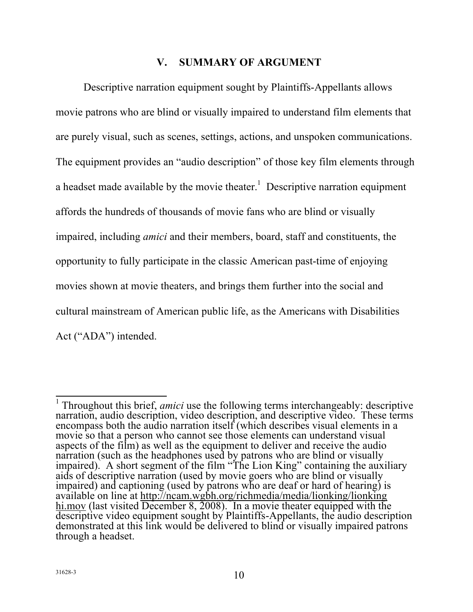# **V. SUMMARY OF ARGUMENT**

<span id="page-15-0"></span> Descriptive narration equipment sought by Plaintiffs-Appellants allows movie patrons who are blind or visually impaired to understand film elements that are purely visual, such as scenes, settings, actions, and unspoken communications. The equipment provides an "audio description" of those key film elements through affords the hundreds of thousands of movie fans who are blind or visually movies shown at movie theaters, and brings them further into the social and cultural mainstream of American public life, as the Americans with Disabilities Act ("ADA") intended. a headset made available by the movie theater.<sup>1</sup> Descriptive narration equipment impaired, including *amici* and their members, board, staff and constituents, the opportunity to fully participate in the classic American past-time of enjoying

 $\frac{1}{1}$  aids of descriptive narration (used by movie goers who are blind or visually descriptive video equipment sought by Plaintiffs-Appellants, the audio description <sup>1</sup> Throughout this brief, *amici* use the following terms interchangeably: descriptive narration, audio description, video description, and descriptive video. These terms encompass both the audio narration itself (which describes visual elements in a movie so that a person who cannot see those elements can understand visual aspects of the film) as well as the equipment to deliver and receive the audio narration (such as the headphones used by patrons who are blind or visually impaired). A short segment of the film "The Lion King" containing the auxiliary impaired) and captioning (used by patrons who are deaf or hard of hearing) is available on line at http://ncam.wgbh.org/richmedia/media/lionking/lionking hi.mov (last visited December 8, 2008). In a movie theater equipped with the demonstrated at this link would be delivered to blind or visually impaired patrons through a headset.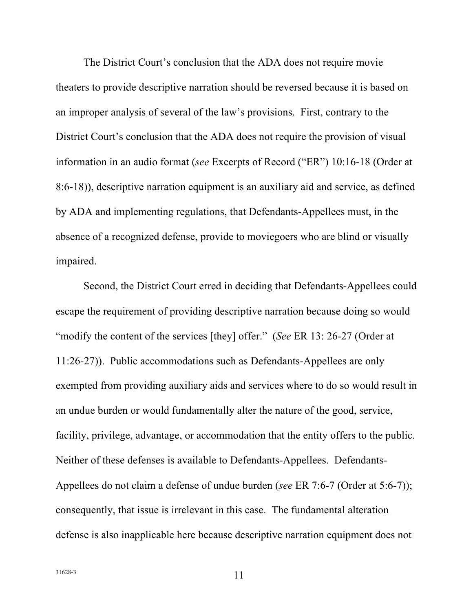The District Court's conclusion that the ADA does not require movie theaters to provide descriptive narration should be reversed because it is based on an improper analysis of several of the law's provisions. First, contrary to the District Court's conclusion that the ADA does not require the provision of visual information in an audio format (*see* Excerpts of Record ("ER") 10:16-18 (Order at 8:6-18)), descriptive narration equipment is an auxiliary aid and service, as defined absence of a recognized defense, provide to moviegoers who are blind or visually impaired. impaired.<br>Second, the District Court erred in deciding that Defendants-Appellees could by ADA and implementing regulations, that Defendants-Appellees must, in the

 "modify the content of the services [they] offer." (*See* ER 13: 26-27 (Order at 11:26-27)). Public accommodations such as Defendants-Appellees are only exempted from providing auxiliary aids and services where to do so would result in an undue burden or would fundamentally alter the nature of the good, service, facility, privilege, advantage, or accommodation that the entity offers to the public. Neither of these defenses is available to Defendants-Appellees. Defendants- Appellees do not claim a defense of undue burden (*see* ER 7:6-7 (Order at 5:6-7)); consequently, that issue is irrelevant in this case. The fundamental alteration defense is also inapplicable here because descriptive narration equipment does not escape the requirement of providing descriptive narration because doing so would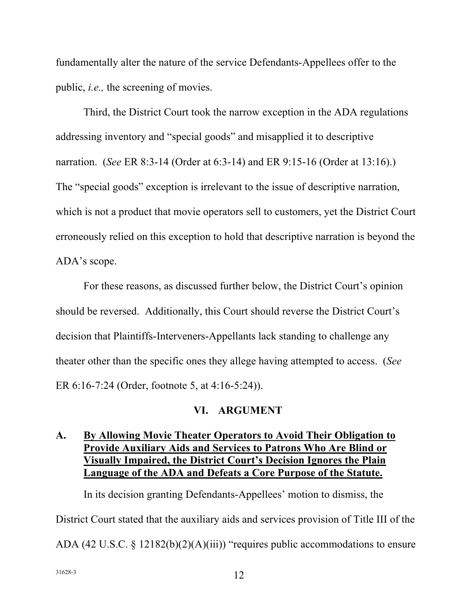<span id="page-17-0"></span> fundamentally alter the nature of the service Defendants-Appellees offer to the public, *i.e.,* the screening of movies.

 Third, the District Court took the narrow exception in the ADA regulations addressing inventory and "special goods" and misapplied it to descriptive narration. (*See* ER 8:3-14 (Order at 6:3-14) and ER 9:15-16 (Order at 13:16).) The "special goods" exception is irrelevant to the issue of descriptive narration, which is not a product that movie operators sell to customers, yet the District Court erroneously relied on this exception to hold that descriptive narration is beyond the ADA's scope.

 For these reasons, as discussed further below, the District Court's opinion decision that Plaintiffs-Interveners-Appellants lack standing to challenge any ER 6:16-7:24 (Order, footnote 5, at 4:16-5:24)). should be reversed. Additionally, this Court should reverse the District Court's theater other than the specific ones they allege having attempted to access. (*See* 

### **VI. ARGUMENT**

# **A. By Allowing Movie Theater Operators to Avoid Their Obligation to Provide Auxiliary Aids and Services to Patrons Who Are Blind or Visually Impaired, the District Court's Decision Ignores the Plain Language of the ADA and Defeats a Core Purpose of the Statute.**

 In its decision granting Defendants-Appellees' motion to dismiss, the District Court stated that the auxiliary aids and services provision of Title III of the ADA (42 U.S.C. § 12182(b)(2)(A)(iii)) "requires public accommodations to ensure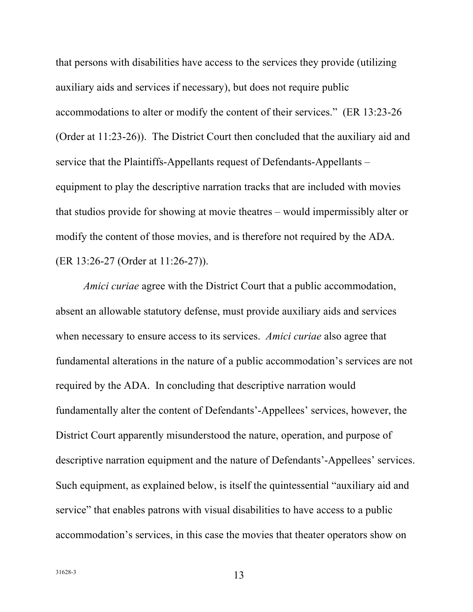auxiliary aids and services if necessary), but does not require public accommodations to alter or modify the content of their services." (ER 13:23-26 service that the Plaintiffs-Appellants request of Defendants-Appellants – equipment to play the descriptive narration tracks that are included with movies modify the content of those movies, and is therefore not required by the ADA. that persons with disabilities have access to the services they provide (utilizing (Order at 11:23-26)). The District Court then concluded that the auxiliary aid and that studios provide for showing at movie theatres – would impermissibly alter or (ER 13:26-27 (Order at 11:26-27)).

 absent an allowable statutory defense, must provide auxiliary aids and services when necessary to ensure access to its services. *Amici curiae* also agree that required by the ADA. In concluding that descriptive narration would fundamentally alter the content of Defendants'-Appellees' services, however, the District Court apparently misunderstood the nature, operation, and purpose of Such equipment, as explained below, is itself the quintessential "auxiliary aid and service" that enables patrons with visual disabilities to have access to a public accommodation's services, in this case the movies that theater operators show on *Amici curiae* agree with the District Court that a public accommodation, fundamental alterations in the nature of a public accommodation's services are not descriptive narration equipment and the nature of Defendants'-Appellees' services.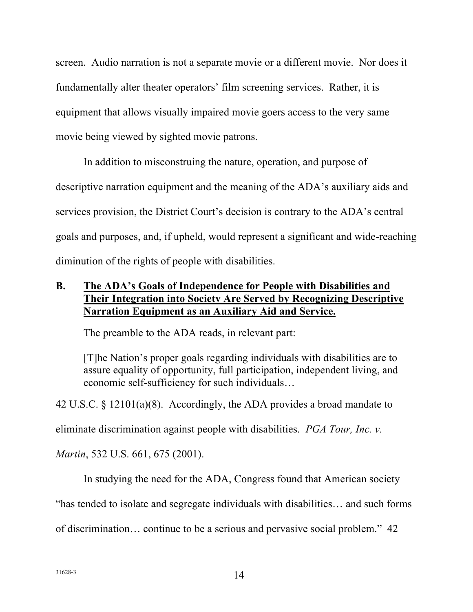<span id="page-19-0"></span> screen. Audio narration is not a separate movie or a different movie. Nor does it fundamentally alter theater operators' film screening services. Rather, it is equipment that allows visually impaired movie goers access to the very same movie being viewed by sighted movie patrons.

 In addition to misconstruing the nature, operation, and purpose of descriptive narration equipment and the meaning of the ADA's auxiliary aids and services provision, the District Court's decision is contrary to the ADA's central goals and purposes, and, if upheld, would represent a significant and wide-reaching diminution of the rights of people with disabilities.

# **B.** The ADA's Goals of Independence for People with Disabilities and  **Their Integration into Society Are Served by Recognizing Descriptive Narration Equipment as an Auxiliary Aid and Service.**

The preamble to the ADA reads, in relevant part:

 [T]he Nation's proper goals regarding individuals with disabilities are to assure equality of opportunity, full participation, independent living, and economic self-sufficiency for such individuals…

42 U.S.C. § 12101(a)(8). Accordingly, the ADA provides a broad mandate to

eliminate discrimination against people with disabilities. *PGA Tour, Inc. v.* 

*Martin*, 532 U.S. 661, 675 (2001).

In studying the need for the ADA, Congress found that American society

"has tended to isolate and segregate individuals with disabilities… and such forms

of discrimination… continue to be a serious and pervasive social problem." 42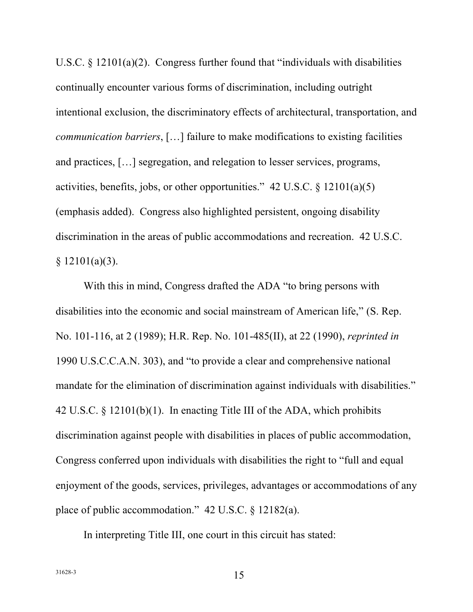<span id="page-20-0"></span>U.S.C.  $\S$  12101(a)(2). Congress further found that "individuals with disabilities continually encounter various forms of discrimination, including outright intentional exclusion, the discriminatory effects of architectural, transportation, and and practices, […] segregation, and relegation to lesser services, programs, activities, benefits, jobs, or other opportunities." 42 U.S.C. § 12101(a)(5) (emphasis added). Congress also highlighted persistent, ongoing disability discrimination in the areas of public accommodations and recreation. 42 U.S.C. *communication barriers*, […] failure to make modifications to existing facilities  $§ 12101(a)(3).$ 

 With this in mind, Congress drafted the ADA "to bring persons with disabilities into the economic and social mainstream of American life," (S. Rep. No. 101-116, at 2 (1989); H.R. Rep. No. 101-485(II), at 22 (1990), *reprinted in*  mandate for the elimination of discrimination against individuals with disabilities." 42 U.S.C. § 12101(b)(1). In enacting Title III of the ADA, which prohibits discrimination against people with disabilities in places of public accommodation, Congress conferred upon individuals with disabilities the right to "full and equal enjoyment of the goods, services, privileges, advantages or accommodations of any place of public accommodation." 42 U.S.C. § 12182(a). 1990 U.S.C.C.A.N. 303), and "to provide a clear and comprehensive national

In interpreting Title III, one court in this circuit has stated: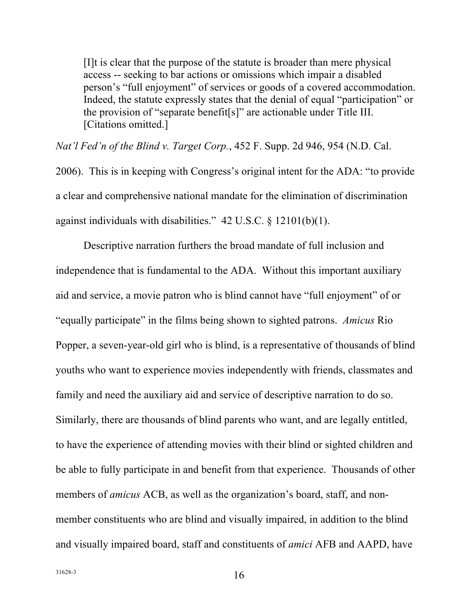<span id="page-21-0"></span> [I]t is clear that the purpose of the statute is broader than mere physical person's "full enjoyment" of services or goods of a covered accommodation. Indeed, the statute expressly states that the denial of equal "participation" or access -- seeking to bar actions or omissions which impair a disabled the provision of "separate benefit[s]" are actionable under Title III. [Citations omitted.]

 *Nat'l Fed'n of the Blind v. Target Corp.*, 452 F. Supp. 2d 946, 954 (N.D. Cal.

 2006). This is in keeping with Congress's original intent for the ADA: "to provide a clear and comprehensive national mandate for the elimination of discrimination against individuals with disabilities." 42 U.S.C. § 12101(b)(1).

 Descriptive narration furthers the broad mandate of full inclusion and aid and service, a movie patron who is blind cannot have "full enjoyment" of or Popper, a seven-year-old girl who is blind, is a representative of thousands of blind youths who want to experience movies independently with friends, classmates and family and need the auxiliary aid and service of descriptive narration to do so. to have the experience of attending movies with their blind or sighted children and be able to fully participate in and benefit from that experience. Thousands of other members of *amicus* ACB, as well as the organization's board, staff, and non- member constituents who are blind and visually impaired, in addition to the blind and visually impaired board, staff and constituents of *amici* AFB and AAPD, have independence that is fundamental to the ADA. Without this important auxiliary "equally participate" in the films being shown to sighted patrons. *Amicus* Rio Similarly, there are thousands of blind parents who want, and are legally entitled,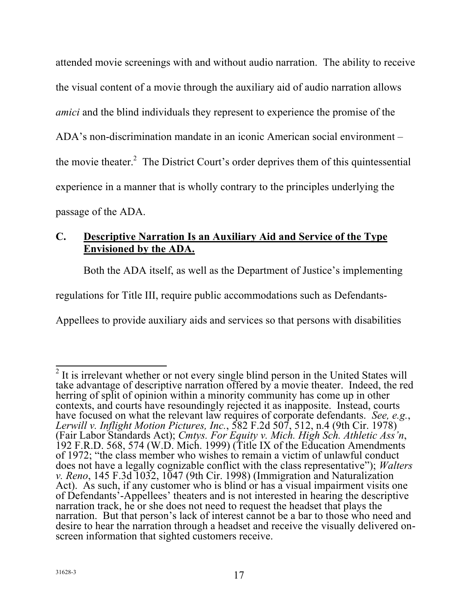<span id="page-22-0"></span> attended movie screenings with and without audio narration. The ability to receive ADA's non-discrimination mandate in an iconic American social environment – experience in a manner that is wholly contrary to the principles underlying the passage of the ADA. the visual content of a movie through the auxiliary aid of audio narration allows *amici* and the blind individuals they represent to experience the promise of the the movie theater.<sup>2</sup> The District Court's order deprives them of this quintessential

# **C. Descriptive Narration Is an Auxiliary Aid and Service of the Type Envisioned by the ADA.**

Both the ADA itself, as well as the Department of Justice's implementing

regulations for Title III, require public accommodations such as Defendants-

Appellees to provide auxiliary aids and services so that persons with disabilities

<sup>&</sup>lt;sup>2</sup> It is irrelevant whether or not every single blind person in the United States will herring of split of opinion within a minority community has come up in other *v. Reno*, 145 F.3d 1032, 1047 (9th Cir. 1998) (Immigration and Naturalization take advantage of descriptive narration offered by a movie theater. Indeed, the red contexts, and courts have resoundingly rejected it as inapposite. Instead, courts have focused on what the relevant law requires of corporate defendants. See, e.g., have focused on what the relevant law requires of corporate defendants. *Lerwill v. Inflight Motion Pictures, Inc.*, 582 F.2d 507, 512, n.4 (9th Cir. 1978)<br>(Fair Labor Standards Act): *Cmtys. For Equity v. Mich. High Sch.* (Fair Labor Standards Act); *Cmtys. For Equity v. Mich. High Sch. Athletic Ass'n*, 192 F.R.D. 568, 574 (W.D. Mich. 1999) (Title IX of the Education Amendments of 1972; "the class member who wishes to remain a victim of unlawful conduct does not have a legally cognizable conflict with the class representative"); *Walters*  Act). As such, if any customer who is blind or has a visual impairment visits one of Defendants'-Appellees' theaters and is not interested in hearing the descriptive narration track, he or she does not need to request the headset that plays the narration. But that person's lack of interest cannot be a bar to those who need and desire to hear the narration through a headset and receive the visually delivered on- screen information that sighted customers receive.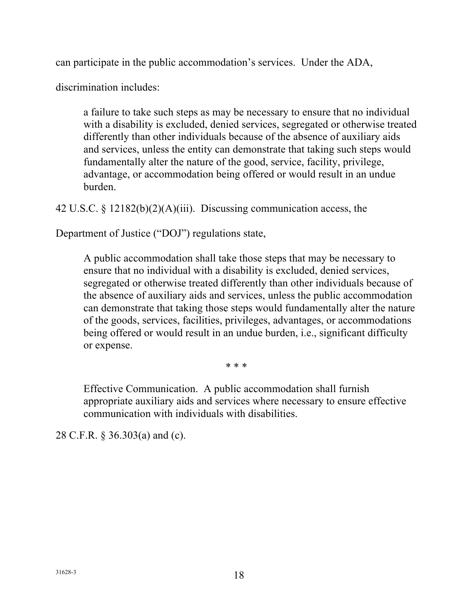<span id="page-23-0"></span>can participate in the public accommodation's services. Under the ADA,

discrimination includes:

 a failure to take such steps as may be necessary to ensure that no individual with a disability is excluded, denied services, segregated or otherwise treated differently than other individuals because of the absence of auxiliary aids and services, unless the entity can demonstrate that taking such steps would fundamentally alter the nature of the good, service, facility, privilege, advantage, or accommodation being offered or would result in an undue burden.

42 U.S.C. § 12182(b)(2)(A)(iii). Discussing communication access, the

Department of Justice ("DOJ") regulations state,

 A public accommodation shall take those steps that may be necessary to ensure that no individual with a disability is excluded, denied services, segregated or otherwise treated differently than other individuals because of of the goods, services, facilities, privileges, advantages, or accommodations being offered or would result in an undue burden, i.e., significant difficulty the absence of auxiliary aids and services, unless the public accommodation can demonstrate that taking those steps would fundamentally alter the nature or expense.

\* \* \*

 Effective Communication. A public accommodation shall furnish appropriate auxiliary aids and services where necessary to ensure effective communication with individuals with disabilities.

28 C.F.R. § 36.303(a) and (c).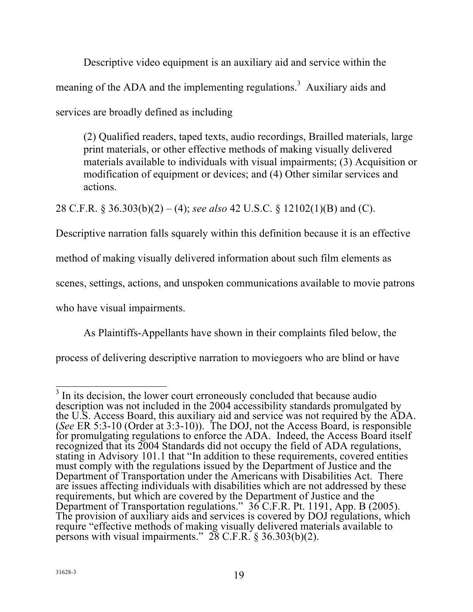<span id="page-24-0"></span> Descriptive video equipment is an auxiliary aid and service within the meaning of the ADA and the implementing regulations.<sup>3</sup> Auxiliary aids and services are broadly defined as including

 (2) Qualified readers, taped texts, audio recordings, Brailled materials, large print materials, or other effective methods of making visually delivered materials available to individuals with visual impairments; (3) Acquisition or modification of equipment or devices; and (4) Other similar services and actions.

28 C.F.R. § 36.303(b)(2) – (4); *see also* 42 U.S.C. § 12102(1)(B) and (C).

Descriptive narration falls squarely within this definition because it is an effective

method of making visually delivered information about such film elements as

scenes, settings, actions, and unspoken communications available to movie patrons

who have visual impairments.

As Plaintiffs-Appellants have shown in their complaints filed below, the

process of delivering descriptive narration to moviegoers who are blind or have

<sup>&</sup>lt;sup>3</sup> In its decision, the lower court erroneously concluded that because audio (*See* ER 5:3-10 (Order at 3:3-10)). The DOJ, not the Access Board, is responsible must comply with the regulations issued by the Department of Justice and the description was not included in the 2004 accessibility standards promulgated by the U.S. Access Board, this auxiliary aid and service was not required by the ADA. for promulgating regulations to enforce the ADA. Indeed, the Access Board itself recognized that its 2004 Standards did not occupy the field of ADA regulations, stating in Advisory 101.1 that "In addition to these requirements, covered entities Department of Transportation under the Americans with Disabilities Act. There are issues affecting individuals with disabilities which are not addressed by these requirements, but which are covered by the Department of Justice and the Department of Transportation regulations." 36 C.F.R. Pt. 1191, App. B (2005). The provision of auxiliary aids and services is covered by DOJ regulations, which require "effective methods of making visually delivered materials available to persons with visual impairments."  $28 \text{ C.F.R. }$  \$ 36.303(b)(2).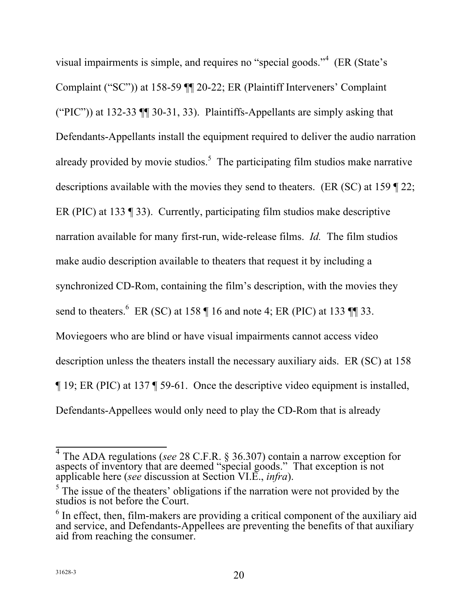visual impairments is simple, and requires no "special goods."<sup>4</sup> (ER (State's Complaint ("SC")) at 158-59 ¶¶ 20-22; ER (Plaintiff Interveners' Complaint descriptions available with the movies they send to theaters. (ER (SC) at 159  $\parallel$  22; narration available for many first-run, wide-release films. *Id.* The film studios make audio description available to theaters that request it by including a synchronized CD-Rom, containing the film's description, with the movies they send to theaters.  $6$  ER (SC) at 158  $\parallel$  16 and note 4; ER (PIC) at 133  $\parallel$  33. Moviegoers who are blind or have visual impairments cannot access video description unless the theaters install the necessary auxiliary aids. ER (SC) at 158 Defendants-Appellees would only need to play the CD-Rom that is already ("PIC")) at 132-33 ¶¶ 30-31, 33). Plaintiffs-Appellants are simply asking that Defendants-Appellants install the equipment required to deliver the audio narration already provided by movie studios.<sup>5</sup> The participating film studios make narrative ER (PIC) at 133 ¶ 33). Currently, participating film studios make descriptive ¶ 19; ER (PIC) at 137 ¶ 59-61. Once the descriptive video equipment is installed,

 $\overline{1}$ 4 The ADA regulations (*see* 28 C.F.R. § 36.307) contain a narrow exception for aspects of inventory that are deemed "special goods." That exception is not applicable here (*see* discussion at Section VI.E., *infra*).

 $<sup>5</sup>$  The issue of the theaters' obligations if the narration were not provided by the</sup> studios is not before the Court.

 $6$  In effect, then, film-makers are providing a critical component of the auxiliary aid and service, and Defendants-Appellees are preventing the benefits of that auxiliary aid from reaching the consumer.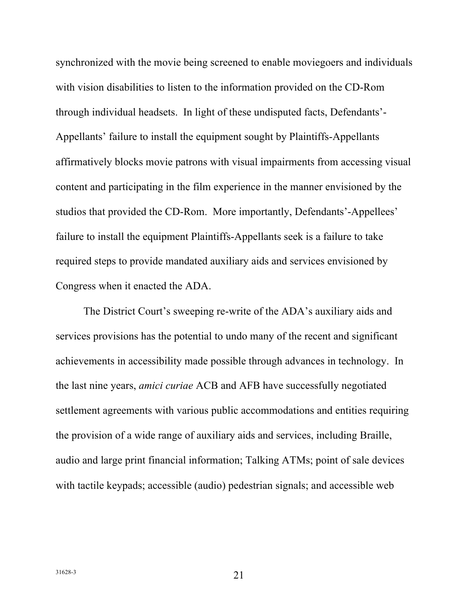synchronized with the movie being screened to enable moviegoers and individuals with vision disabilities to listen to the information provided on the CD-Rom through individual headsets. In light of these undisputed facts, Defendants'- affirmatively blocks movie patrons with visual impairments from accessing visual content and participating in the film experience in the manner envisioned by the studios that provided the CD-Rom. More importantly, Defendants'-Appellees' failure to install the equipment Plaintiffs-Appellants seek is a failure to take required steps to provide mandated auxiliary aids and services envisioned by Congress when it enacted the ADA. Appellants' failure to install the equipment sought by Plaintiffs-Appellants

 The District Court's sweeping re-write of the ADA's auxiliary aids and services provisions has the potential to undo many of the recent and significant achievements in accessibility made possible through advances in technology. In the provision of a wide range of auxiliary aids and services, including Braille, audio and large print financial information; Talking ATMs; point of sale devices with tactile keypads; accessible (audio) pedestrian signals; and accessible web the last nine years, *amici curiae* ACB and AFB have successfully negotiated settlement agreements with various public accommodations and entities requiring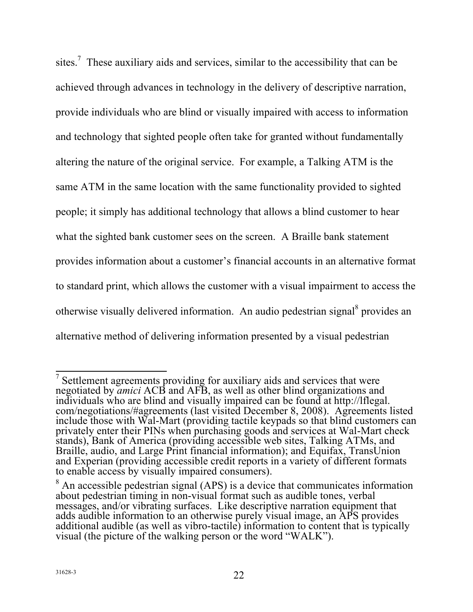sites.<sup>7</sup> These auxiliary aids and services, similar to the accessibility that can be achieved through advances in technology in the delivery of descriptive narration, provide individuals who are blind or visually impaired with access to information and technology that sighted people often take for granted without fundamentally altering the nature of the original service. For example, a Talking ATM is the people; it simply has additional technology that allows a blind customer to hear what the sighted bank customer sees on the screen. A Braille bank statement provides information about a customer's financial accounts in an alternative format otherwise visually delivered information. An audio pedestrian signal<sup>8</sup> provides an alternative method of delivering information presented by a visual pedestrian same ATM in the same location with the same functionality provided to sighted to standard print, which allows the customer with a visual impairment to access the

<sup>&</sup>lt;sup>7</sup> Settlement agreements providing for auxiliary aids and services that were include those with Wal-Mart (providing tactile keypads so that blind customers can negotiated by *amici* ACB and AFB, as well as other blind organizations and individuals who are blind and visually impaired can be found at http://lflegal. com/negotiations/#agreements (last visited December 8, 2008). Agreements listed privately enter their PINs when purchasing goods and services at Wal-Mart check stands), Bank of America (providing accessible web sites, Talking ATMs, and Braille, audio, and Large Print financial information); and Equifax, TransUnion and Experian (providing accessible credit reports in a variety of different formats to enable access by visually impaired consumers).

 about pedestrian timing in non-visual format such as audible tones, verbal  $8$  An accessible pedestrian signal (APS) is a device that communicates information messages, and/or vibrating surfaces. Like descriptive narration equipment that adds audible information to an otherwise purely visual image, an APS provides additional audible (as well as vibro-tactile) information to content that is typically visual (the picture of the walking person or the word "WALK").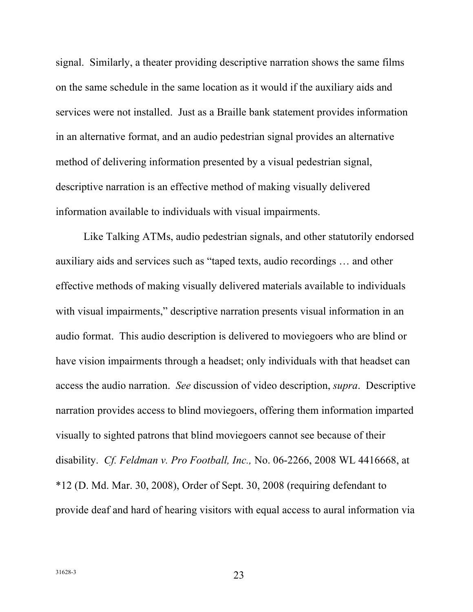<span id="page-28-0"></span> on the same schedule in the same location as it would if the auxiliary aids and services were not installed. Just as a Braille bank statement provides information method of delivering information presented by a visual pedestrian signal, descriptive narration is an effective method of making visually delivered signal. Similarly, a theater providing descriptive narration shows the same films in an alternative format, and an audio pedestrian signal provides an alternative information available to individuals with visual impairments.

 Like Talking ATMs, audio pedestrian signals, and other statutorily endorsed auxiliary aids and services such as "taped texts, audio recordings … and other effective methods of making visually delivered materials available to individuals with visual impairments," descriptive narration presents visual information in an audio format. This audio description is delivered to moviegoers who are blind or have vision impairments through a headset; only individuals with that headset can access the audio narration. *See* discussion of video description, *supra*. Descriptive narration provides access to blind moviegoers, offering them information imparted visually to sighted patrons that blind moviegoers cannot see because of their disability. *Cf. Feldman v. Pro Football, Inc.,* No. 06-2266, 2008 WL 4416668, at \*12 (D. Md. Mar. 30, 2008), Order of Sept. 30, 2008 (requiring defendant to provide deaf and hard of hearing visitors with equal access to aural information via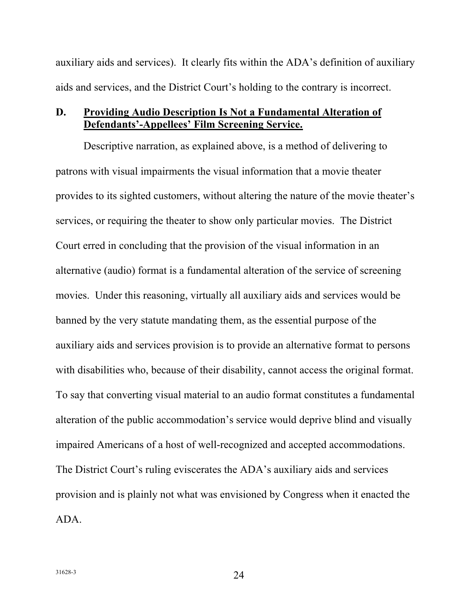<span id="page-29-0"></span> auxiliary aids and services). It clearly fits within the ADA's definition of auxiliary aids and services, and the District Court's holding to the contrary is incorrect.

### **D. Providing Audio Description Is Not a Fundamental Alteration of Defendants'-Appellees' Film Screening Service.**

 Descriptive narration, as explained above, is a method of delivering to patrons with visual impairments the visual information that a movie theater services, or requiring the theater to show only particular movies. The District Court erred in concluding that the provision of the visual information in an alternative (audio) format is a fundamental alteration of the service of screening movies. Under this reasoning, virtually all auxiliary aids and services would be banned by the very statute mandating them, as the essential purpose of the with disabilities who, because of their disability, cannot access the original format. To say that converting visual material to an audio format constitutes a fundamental impaired Americans of a host of well-recognized and accepted accommodations. The District Court's ruling eviscerates the ADA's auxiliary aids and services provides to its sighted customers, without altering the nature of the movie theater's auxiliary aids and services provision is to provide an alternative format to persons alteration of the public accommodation's service would deprive blind and visually provision and is plainly not what was envisioned by Congress when it enacted the ADA.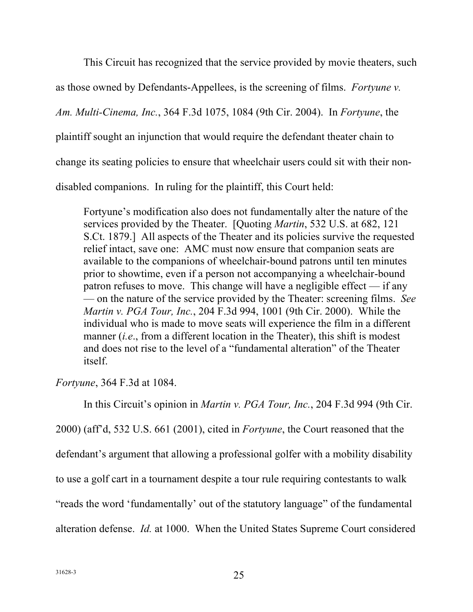This Circuit has recognized that the service provided by movie theaters, such

<span id="page-30-0"></span>as those owned by Defendants-Appellees, is the screening of films. *Fortyune v.* 

*Am. Multi-Cinema, Inc.*, 364 F.3d 1075, 1084 (9th Cir. 2004). In *Fortyune*, the

plaintiff sought an injunction that would require the defendant theater chain to

change its seating policies to ensure that wheelchair users could sit with their non-

disabled companions. In ruling for the plaintiff, this Court held:

 Fortyune's modification also does not fundamentally alter the nature of the services provided by the Theater. [Quoting *Martin*, 532 U.S. at 682, 121 relief intact, save one: AMC must now ensure that companion seats are available to the companions of wheelchair-bound patrons until ten minutes prior to showtime, even if a person not accompanying a wheelchair-bound patron refuses to move. This change will have a negligible effect — if any  *Martin v. PGA Tour, Inc.*, 204 F.3d 994, 1001 (9th Cir. 2000). While the and does not rise to the level of a "fundamental alteration" of the Theater S.Ct. 1879.] All aspects of the Theater and its policies survive the requested — on the nature of the service provided by the Theater: screening films. *See*  individual who is made to move seats will experience the film in a different manner (*i.e*., from a different location in the Theater), this shift is modest itself.

*Fortyune*, 364 F.3d at 1084.

In this Circuit's opinion in *Martin v. PGA Tour, Inc.*, 204 F.3d 994 (9th Cir.

2000) (aff'd, 532 U.S. 661 (2001), cited in *Fortyune*, the Court reasoned that the

defendant's argument that allowing a professional golfer with a mobility disability

to use a golf cart in a tournament despite a tour rule requiring contestants to walk

"reads the word 'fundamentally' out of the statutory language" of the fundamental

alteration defense. *Id.* at 1000. When the United States Supreme Court considered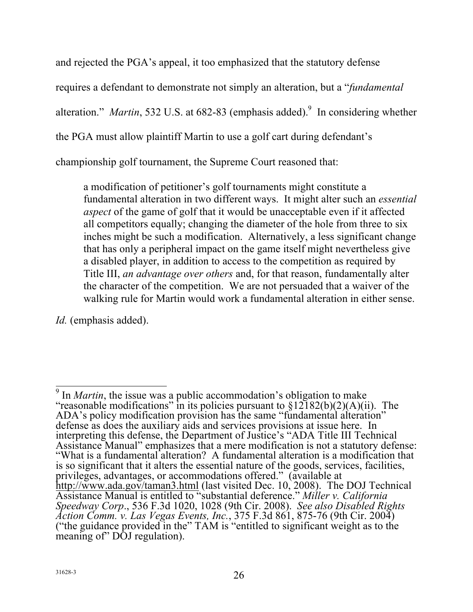<span id="page-31-0"></span> and rejected the PGA's appeal, it too emphasized that the statutory defense requires a defendant to demonstrate not simply an alteration, but a "*fundamental*  alteration." *Martin*, 532 U.S. at 682-83 (emphasis added).<sup>9</sup> In considering whether the PGA must allow plaintiff Martin to use a golf cart during defendant's

championship golf tournament, the Supreme Court reasoned that:

 fundamental alteration in two different ways. It might alter such an *essential*  all competitors equally; changing the diameter of the hole from three to six Title III, *an advantage over others* and, for that reason, fundamentally alter walking rule for Martin would work a fundamental alteration in either sense. a modification of petitioner's golf tournaments might constitute a *aspect* of the game of golf that it would be unacceptable even if it affected inches might be such a modification. Alternatively, a less significant change that has only a peripheral impact on the game itself might nevertheless give a disabled player, in addition to access to the competition as required by the character of the competition. We are not persuaded that a waiver of the

*Id.* (emphasis added).

<sup>&</sup>lt;sup>9</sup> In *Martin*, the issue was a public accommodation's obligation to make "reasonable modifications" in its policies pursuant to  $\S 12182(b)(2)(A)(ii)$ . The privileges, advantages, or accommodations offered." (available at Assistance Manual is entitled to "substantial deference." *Miller v. California*  ADA's policy modification provision has the same "fundamental alteration" defense as does the auxiliary aids and services provisions at issue here. In interpreting this defense, the Department of Justice's "ADA Title III Technical Assistance Manual" emphasizes that a mere modification is not a statutory defense: "What is a fundamental alteration? A fundamental alteration is a modification that is so significant that it alters the essential nature of the goods, services, facilities, http://www.ada.gov/taman3.html (last visited Dec. 10, 2008). The DOJ Technical *Speedway Corp*., 536 F.3d 1020, 1028 (9th Cir. 2008). *See also Disabled Rights Action Comm. v. Las Vegas Events, Inc.*, 375 F.3d 861, 875-76 (9th Cir. 2004) ("the guidance provided in the" TAM is "entitled to significant weight as to the meaning of" DOJ regulation).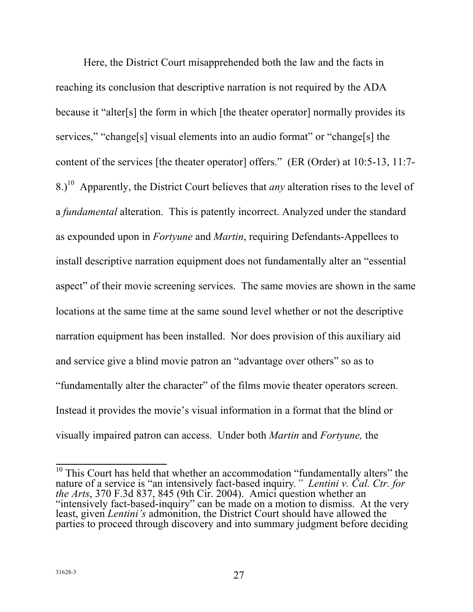<span id="page-32-0"></span> reaching its conclusion that descriptive narration is not required by the ADA because it "alter[s] the form in which [the theater operator] normally provides its content of the services [the theater operator] offers." (ER (Order) at 10:5-13, 11:7- as expounded upon in *Fortyune* and *Martin*, requiring Defendants-Appellees to install descriptive narration equipment does not fundamentally alter an "essential narration equipment has been installed. Nor does provision of this auxiliary aid and service give a blind movie patron an "advantage over others" so as to "fundamentally alter the character" of the films movie theater operators screen. Instead it provides the movie's visual information in a format that the blind or visually impaired patron can access. Under both *Martin* and *Fortyune,* the Here, the District Court misapprehended both the law and the facts in services," "change[s] visual elements into an audio format" or "change[s] the 8.) 10 Apparently, the District Court believes that *any* alteration rises to the level of a *fundamental* alteration. This is patently incorrect. Analyzed under the standard aspect" of their movie screening services. The same movies are shown in the same locations at the same time at the same sound level whether or not the descriptive

 $\frac{1}{1}$  parties to proceed through discovery and into summary judgment before deciding  $10$  This Court has held that whether an accommodation "fundamentally alters" the nature of a service is "an intensively fact-based inquiry*." Lentini v. Cal. Ctr. for the Arts*, 370 F.3d 837, 845 (9th Cir. 2004). Amici question whether an "intensively fact-based-inquiry" can be made on a motion to dismiss. At the very least, given *Lentini's* admonition, the District Court should have allowed the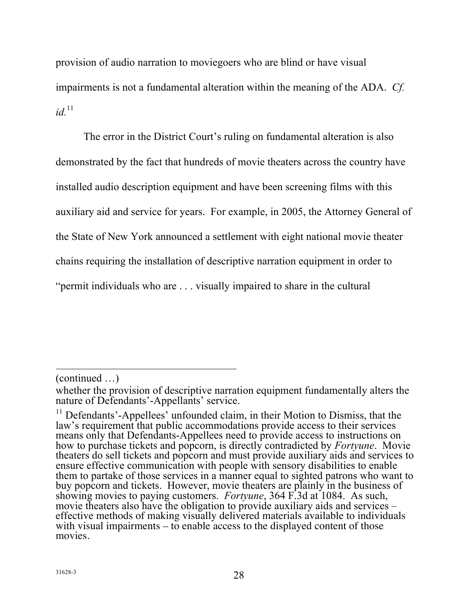<span id="page-33-0"></span> provision of audio narration to moviegoers who are blind or have visual impairments is not a fundamental alteration within the meaning of the ADA. *Cf.*   $id$ <sup>11</sup>

 The error in the District Court's ruling on fundamental alteration is also demonstrated by the fact that hundreds of movie theaters across the country have auxiliary aid and service for years. For example, in 2005, the Attorney General of chains requiring the installation of descriptive narration equipment in order to "permit individuals who are . . . visually impaired to share in the cultural installed audio description equipment and have been screening films with this the State of New York announced a settlement with eight national movie theater

 $\overline{a}$ (continued …)

 nature of Defendants'-Appellants' service. whether the provision of descriptive narration equipment fundamentally alters the

 $11$  Defendants'-Appellees' unfounded claim, in their Motion to Dismiss, that the ensure effective communication with people with sensory disabilities to enable buy popcorn and tickets. However, movie theaters are plainly in the business of movie theaters also have the obligation to provide auxiliary aids and services – law's requirement that public accommodations provide access to their services means only that Defendants-Appellees need to provide access to instructions on how to purchase tickets and popcorn, is directly contradicted by *Fortyune*. Movie theaters do sell tickets and popcorn and must provide auxiliary aids and services to them to partake of those services in a manner equal to sighted patrons who want to showing movies to paying customers. *Fortyune*, 364 F.3d at 1084. As such, effective methods of making visually delivered materials available to individuals with visual impairments – to enable access to the displayed content of those movies.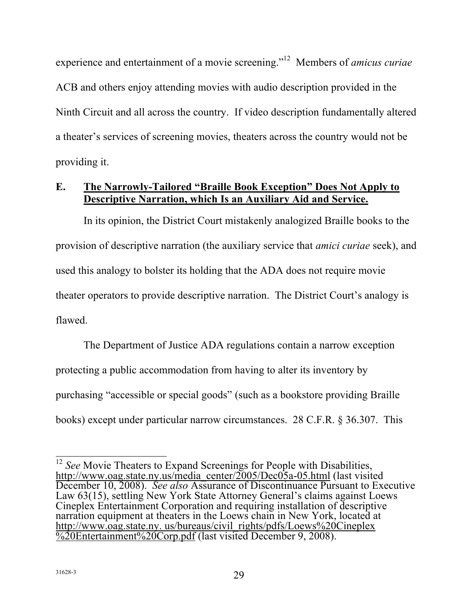<span id="page-34-0"></span>experience and entertainment of a movie screening."<sup>12</sup> Members of *amicus curiae*  ACB and others enjoy attending movies with audio description provided in the Ninth Circuit and all across the country. If video description fundamentally altered providing it. a theater's services of screening movies, theaters across the country would not be

# **E. The Narrowly-Tailored "Braille Book Exception" Does Not Apply to Descriptive Narration, which Is an Auxiliary Aid and Service.**

 In its opinion, the District Court mistakenly analogized Braille books to the provision of descriptive narration (the auxiliary service that *amici curiae* seek), and used this analogy to bolster its holding that the ADA does not require movie flawed. flawed. The Department of Justice ADA regulations contain a narrow exception theater operators to provide descriptive narration. The District Court's analogy is

 protecting a public accommodation from having to alter its inventory by purchasing "accessible or special goods" (such as a bookstore providing Braille books) except under particular narrow circumstances. 28 C.F.R. § 36.307. This

 $\frac{1}{1}$  December 10, 2008). *See also* Assurance of Discontinuance Pursuant to Executive %20Entertainment%20Corp.pdf (last visited December 9, 2008). <sup>12</sup> See Movie Theaters to Expand Screenings for People with Disabilities, http://www.oag.state.ny.us/media\_center/2005/Dec05a-05.html (last visited Law 63(15), settling New York State Attorney General's claims against Loews Cineplex Entertainment Corporation and requiring installation of descriptive narration equipment at theaters in the Loews chain in New York, located at http://www.oag.state.ny. us/bureaus/civil\_rights/pdfs/Loews%20Cineplex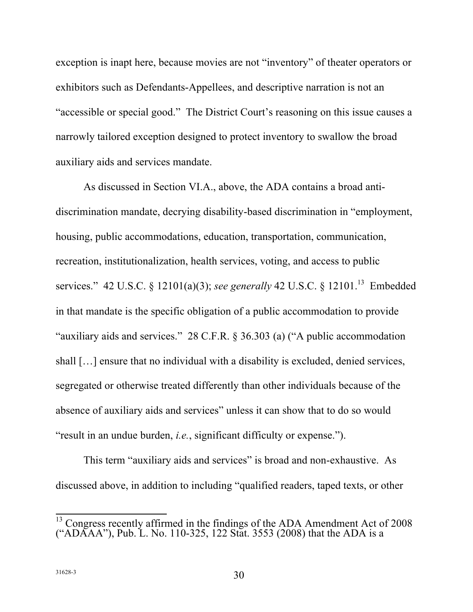<span id="page-35-0"></span> exception is inapt here, because movies are not "inventory" of theater operators or "accessible or special good." The District Court's reasoning on this issue causes a narrowly tailored exception designed to protect inventory to swallow the broad auxiliary aids and services mandate. exhibitors such as Defendants-Appellees, and descriptive narration is not an

 As discussed in Section VI.A., above, the ADA contains a broad anti- housing, public accommodations, education, transportation, communication, recreation, institutionalization, health services, voting, and access to public services." 42 U.S.C. § 12101(a)(3); *see generally* 42 U.S.C. § 12101.<sup>13</sup> Embedded "auxiliary aids and services." 28 C.F.R. § 36.303 (a) ("A public accommodation shall […] ensure that no individual with a disability is excluded, denied services, segregated or otherwise treated differently than other individuals because of the absence of auxiliary aids and services" unless it can show that to do so would "result in an undue burden, *i.e.*, significant difficulty or expense."). discrimination mandate, decrying disability-based discrimination in "employment, in that mandate is the specific obligation of a public accommodation to provide

 This term "auxiliary aids and services" is broad and non-exhaustive. As discussed above, in addition to including "qualified readers, taped texts, or other

 $\frac{1}{1}$  $13$  Congress recently affirmed in the findings of the ADA Amendment Act of 2008 ("ADAAA"), Pub. L. No. 110-325, 122 Stat. 3553 (2008) that the ADA is a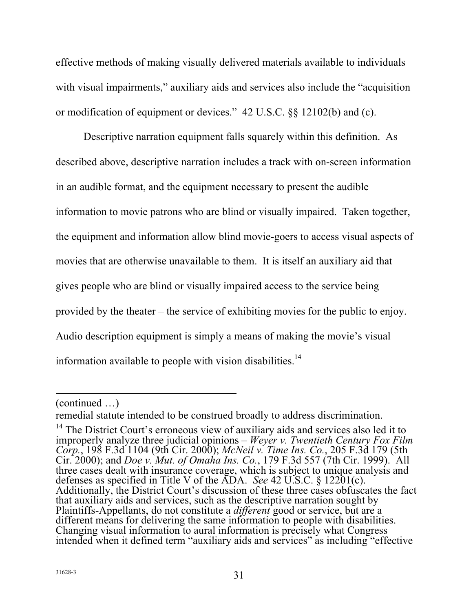<span id="page-36-0"></span> effective methods of making visually delivered materials available to individuals with visual impairments," auxiliary aids and services also include the "acquisition or modification of equipment or devices." 42 U.S.C. §§ 12102(b) and (c).

 Descriptive narration equipment falls squarely within this definition. As described above, descriptive narration includes a track with on-screen information the equipment and information allow blind movie-goers to access visual aspects of movies that are otherwise unavailable to them. It is itself an auxiliary aid that gives people who are blind or visually impaired access to the service being provided by the theater – the service of exhibiting movies for the public to enjoy. Audio description equipment is simply a means of making the movie's visual in an audible format, and the equipment necessary to present the audible information to movie patrons who are blind or visually impaired. Taken together, information available to people with vision disabilities.<sup>14</sup>

 $\overline{a}$ (continued …)

 remedial statute intended to be construed broadly to address discrimination.

<sup>&</sup>lt;sup>14</sup> The District Court's erroneous view of auxiliary aids and services also led it to defenses as specified in Title V of the ADA. *See* 42 U.S.C. § 12201(c). improperly analyze three judicial opinions – *Weyer v. Twentieth Century Fox Film Corp.*, 198 F.3d 1104 (9th Cir. 2000); *McNeil v. Time Ins. Co.*, 205 F.3d 179 (5th Cir. 2000); and *Doe v. Mut. of Omaha Ins. Co.*, 179 F.3d 557 (7th Cir. 1999). All three cases dealt with insurance coverage, which is subject to unique analysis and Additionally, the District Court's discussion of these three cases obfuscates the fact that auxiliary aids and services, such as the descriptive narration sought by Plaintiffs-Appellants, do not constitute a *different* good or service, but are a different means for delivering the same information to people with disabilities. Changing visual information to aural information is precisely what Congress intended when it defined term "auxiliary aids and services" as including "effective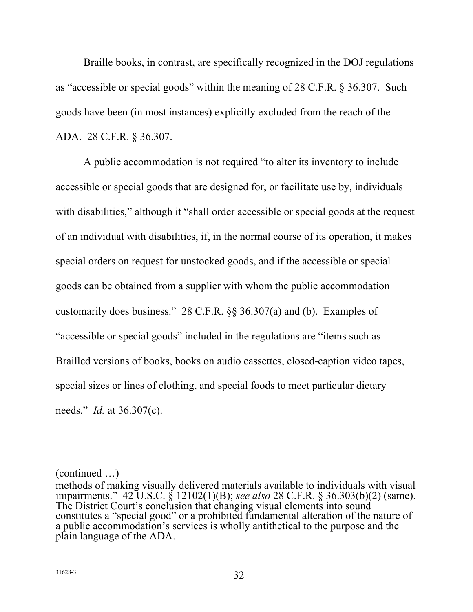<span id="page-37-0"></span> Braille books, in contrast, are specifically recognized in the DOJ regulations as "accessible or special goods" within the meaning of 28 C.F.R. § 36.307. Such goods have been (in most instances) explicitly excluded from the reach of the ADA. 28 C.F.R. § 36.307.

 A public accommodation is not required "to alter its inventory to include accessible or special goods that are designed for, or facilitate use by, individuals with disabilities," although it "shall order accessible or special goods at the request of an individual with disabilities, if, in the normal course of its operation, it makes special orders on request for unstocked goods, and if the accessible or special goods can be obtained from a supplier with whom the public accommodation customarily does business." 28 C.F.R. §§ 36.307(a) and (b). Examples of "accessible or special goods" included in the regulations are "items such as Brailled versions of books, books on audio cassettes, closed-caption video tapes, special sizes or lines of clothing, and special foods to meet particular dietary needs." *Id.* at 36.307(c).

 $\overline{a}$ 

<sup>(</sup>continued …)

 methods of making visually delivered materials available to individuals with visual The District Court's conclusion that changing visual elements into sound a public accommodation's services is wholly antithetical to the purpose and the impairments." 42 U.S.C. § 12102(1)(B); *see also* 28 C.F.R. § 36.303(b)(2) (same). constitutes a "special good" or a prohibited fundamental alteration of the nature of plain language of the ADA.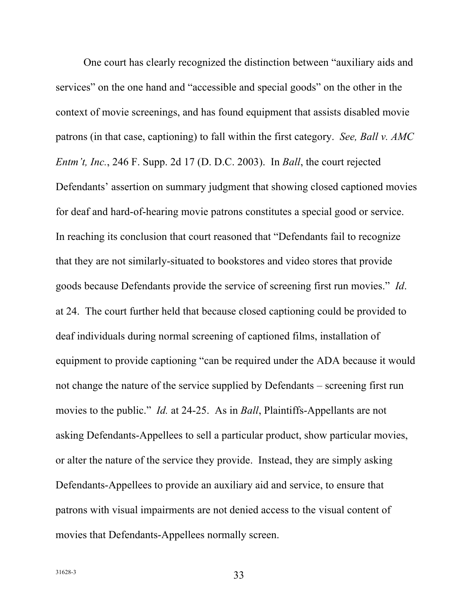<span id="page-38-0"></span> One court has clearly recognized the distinction between "auxiliary aids and services" on the one hand and "accessible and special goods" on the other in the context of movie screenings, and has found equipment that assists disabled movie patrons (in that case, captioning) to fall within the first category. *See, Ball v. AMC*  Defendants' assertion on summary judgment that showing closed captioned movies for deaf and hard-of-hearing movie patrons constitutes a special good or service. In reaching its conclusion that court reasoned that "Defendants fail to recognize that they are not similarly-situated to bookstores and video stores that provide goods because Defendants provide the service of screening first run movies." *Id*. at 24. The court further held that because closed captioning could be provided to deaf individuals during normal screening of captioned films, installation of equipment to provide captioning "can be required under the ADA because it would not change the nature of the service supplied by Defendants – screening first run movies to the public." *Id.* at 24-25. As in *Ball*, Plaintiffs-Appellants are not asking Defendants-Appellees to sell a particular product, show particular movies, or alter the nature of the service they provide. Instead, they are simply asking Defendants-Appellees to provide an auxiliary aid and service, to ensure that patrons with visual impairments are not denied access to the visual content of movies that Defendants-Appellees normally screen. *Entm't, Inc.*, 246 F. Supp. 2d 17 (D. D.C. 2003). In *Ball*, the court rejected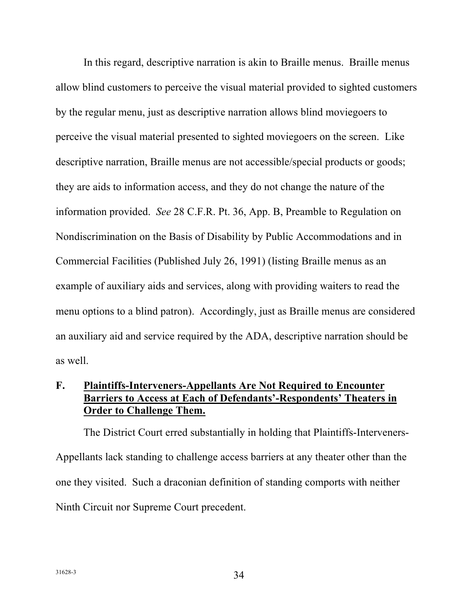<span id="page-39-0"></span> In this regard, descriptive narration is akin to Braille menus. Braille menus allow blind customers to perceive the visual material provided to sighted customers by the regular menu, just as descriptive narration allows blind moviegoers to perceive the visual material presented to sighted moviegoers on the screen. Like descriptive narration, Braille menus are not accessible/special products or goods; information provided. *See* 28 C.F.R. Pt. 36, App. B, Preamble to Regulation on Nondiscrimination on the Basis of Disability by Public Accommodations and in Commercial Facilities (Published July 26, 1991) (listing Braille menus as an example of auxiliary aids and services, along with providing waiters to read the menu options to a blind patron). Accordingly, just as Braille menus are considered an auxiliary aid and service required by the ADA, descriptive narration should be they are aids to information access, and they do not change the nature of the as well.

# **Barriers to Access at Each of Defendants'-Respondents' Theaters in Order to Challenge Them. F. Plaintiffs-Interveners-Appellants Are Not Required to Encounter**

 The District Court erred substantially in holding that Plaintiffs-Interveners- Appellants lack standing to challenge access barriers at any theater other than the one they visited. Such a draconian definition of standing comports with neither Ninth Circuit nor Supreme Court precedent.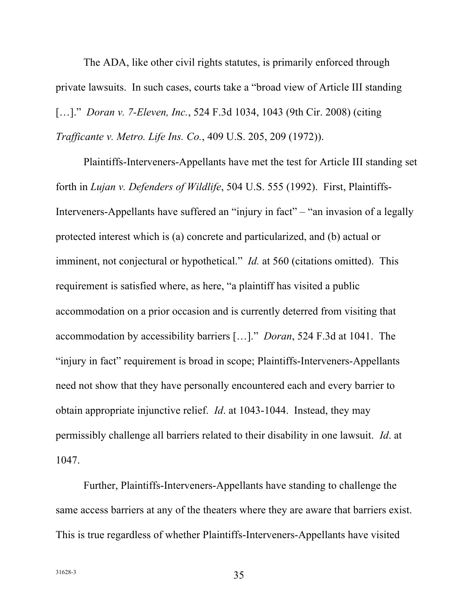<span id="page-40-0"></span> The ADA, like other civil rights statutes, is primarily enforced through private lawsuits. In such cases, courts take a "broad view of Article III standing […]." *Doran v. 7-Eleven, Inc.*, 524 F.3d 1034, 1043 (9th Cir. 2008) (citing  *Trafficante v. Metro. Life Ins. Co.*, 409 U.S. 205, 209 (1972)).

 forth in *Lujan v. Defenders of Wildlife*, 504 U.S. 555 (1992). First, Plaintiffs- protected interest which is (a) concrete and particularized, and (b) actual or imminent, not conjectural or hypothetical." *Id.* at 560 (citations omitted). This requirement is satisfied where, as here, "a plaintiff has visited a public accommodation on a prior occasion and is currently deterred from visiting that accommodation by accessibility barriers […]." *Doran*, 524 F.3d at 1041. The "injury in fact" requirement is broad in scope; Plaintiffs-Interveners-Appellants need not show that they have personally encountered each and every barrier to obtain appropriate injunctive relief. *Id*. at 1043-1044. Instead, they may permissibly challenge all barriers related to their disability in one lawsuit. *Id*. at 1047. Plaintiffs-Interveners-Appellants have met the test for Article III standing set Interveners-Appellants have suffered an "injury in fact" – "an invasion of a legally

 same access barriers at any of the theaters where they are aware that barriers exist. This is true regardless of whether Plaintiffs-Interveners-Appellants have visited Further, Plaintiffs-Interveners-Appellants have standing to challenge the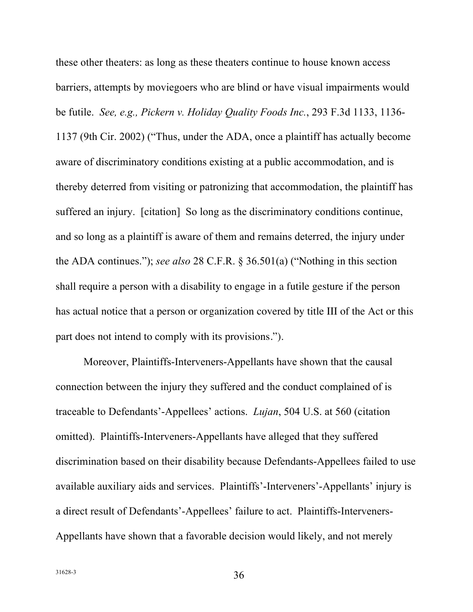<span id="page-41-0"></span> barriers, attempts by moviegoers who are blind or have visual impairments would be futile. *See, e.g., Pickern v. Holiday Quality Foods Inc.*, 293 F.3d 1133, 1136- aware of discriminatory conditions existing at a public accommodation, and is suffered an injury. [citation] So long as the discriminatory conditions continue, and so long as a plaintiff is aware of them and remains deterred, the injury under the ADA continues."); *see also* 28 C.F.R. § 36.501(a) ("Nothing in this section shall require a person with a disability to engage in a futile gesture if the person has actual notice that a person or organization covered by title III of the Act or this part does not intend to comply with its provisions."). these other theaters: as long as these theaters continue to house known access 1137 (9th Cir. 2002) ("Thus, under the ADA, once a plaintiff has actually become thereby deterred from visiting or patronizing that accommodation, the plaintiff has

 connection between the injury they suffered and the conduct complained of is traceable to Defendants'-Appellees' actions. *Lujan*, 504 U.S. at 560 (citation omitted). Plaintiffs-Interveners-Appellants have alleged that they suffered available auxiliary aids and services. Plaintiffs'-Interveners'-Appellants' injury is a direct result of Defendants'-Appellees' failure to act. Plaintiffs-Interveners-Moreover, Plaintiffs-Interveners-Appellants have shown that the causal discrimination based on their disability because Defendants-Appellees failed to use Appellants have shown that a favorable decision would likely, and not merely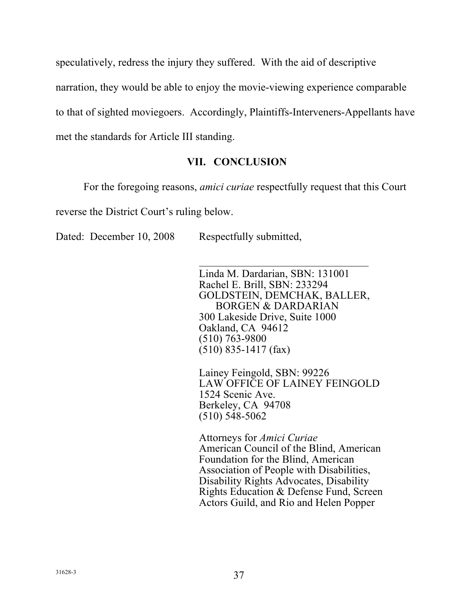<span id="page-42-0"></span> speculatively, redress the injury they suffered. With the aid of descriptive narration, they would be able to enjoy the movie-viewing experience comparable met the standards for Article III standing. to that of sighted moviegoers. Accordingly, Plaintiffs-Interveners-Appellants have

# **VII. CONCLUSION**

For the foregoing reasons, *amici curiae* respectfully request that this Court

reverse the District Court's ruling below.

Dated: December 10, 2008 Respectfully submitted,

 Linda M. Dardarian, SBN: 131001 Rachel E. Brill, SBN: 233294 BORGEN & DARDARIAN 300 Lakeside Drive, Suite 1000 Oakland, CA 94612 GOLDSTEIN, DEMCHAK, BALLER, (510) 763-9800  $(510)$  835-1417 (fax)

 Berkeley, CA 94708 Lainey Feingold, SBN: 99226 LAW OFFICE OF LAINEY FEINGOLD 1524 Scenic Ave. (510) 548-5062

 American Council of the Blind, American Foundation for the Blind, American Association of People with Disabilities, Rights Education & Defense Fund, Screen Attorneys for *Amici Curiae*  Disability Rights Advocates, Disability Actors Guild, and Rio and Helen Popper